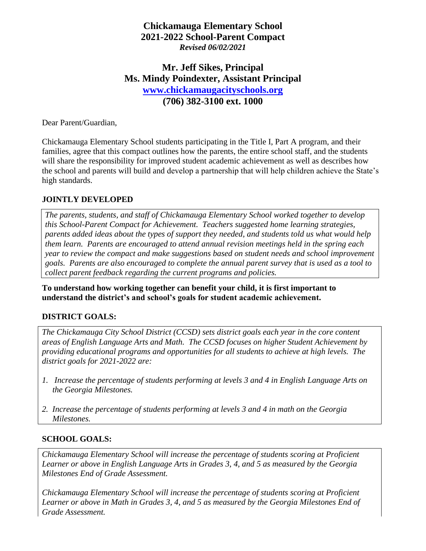## **Chickamauga Elementary School 2021-2022 School-Parent Compact** *Revised 06/02/2021*

## **Mr. Jeff Sikes, Principal Ms. Mindy Poindexter, Assistant Principal [www.chickamaugacityschools.org](http://www.chickamaugacityschools.org/) (706) 382-3100 ext. 1000**

Dear Parent/Guardian,

Chickamauga Elementary School students participating in the Title I, Part A program, and their families, agree that this compact outlines how the parents, the entire school staff, and the students will share the responsibility for improved student academic achievement as well as describes how the school and parents will build and develop a partnership that will help children achieve the State's high standards.

#### **JOINTLY DEVELOPED**

*The parents, students, and staff of Chickamauga Elementary School worked together to develop this School-Parent Compact for Achievement. Teachers suggested home learning strategies, parents added ideas about the types of support they needed, and students told us what would help them learn. Parents are encouraged to attend annual revision meetings held in the spring each year to review the compact and make suggestions based on student needs and school improvement goals. Parents are also encouraged to complete the annual parent survey that is used as a tool to collect parent feedback regarding the current programs and policies.*

**To understand how working together can benefit your child, it is first important to understand the district's and school's goals for student academic achievement.** 

#### **DISTRICT GOALS:**

*The Chickamauga City School District (CCSD) sets district goals each year in the core content areas of English Language Arts and Math. The CCSD focuses on higher Student Achievement by providing educational programs and opportunities for all students to achieve at high levels. The district goals for 2021-2022 are:*

- *1. Increase the percentage of students performing at levels 3 and 4 in English Language Arts on the Georgia Milestones.*
- *2. Increase the percentage of students performing at levels 3 and 4 in math on the Georgia Milestones.*

#### **SCHOOL GOALS:**

*Chickamauga Elementary School will increase the percentage of students scoring at Proficient Learner or above in English Language Arts in Grades 3, 4, and 5 as measured by the Georgia Milestones End of Grade Assessment.*

*Chickamauga Elementary School will increase the percentage of students scoring at Proficient Learner or above in Math in Grades 3, 4, and 5 as measured by the Georgia Milestones End of Grade Assessment.*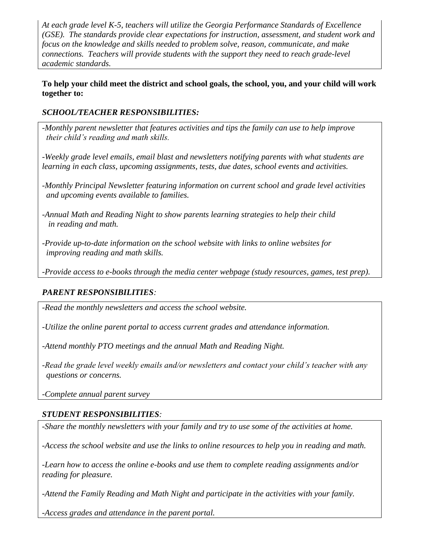*At each grade level K-5, teachers will utilize the Georgia Performance Standards of Excellence (GSE). The standards provide clear expectations for instruction, assessment, and student work and focus on the knowledge and skills needed to problem solve, reason, communicate, and make connections. Teachers will provide students with the support they need to reach grade-level academic standards.*

**To help your child meet the district and school goals, the school, you, and your child will work together to:**

#### *SCHOOL/TEACHER RESPONSIBILITIES:*

*-Monthly parent newsletter that features activities and tips the family can use to help improve their child's reading and math skills.*

*-Weekly grade level emails, email blast and newsletters notifying parents with what students are learning in each class, upcoming assignments, tests, due dates, school events and activities.*

*-Monthly Principal Newsletter featuring information on current school and grade level activities and upcoming events available to families.*

*-Annual Math and Reading Night to show parents learning strategies to help their child in reading and math.*

*-Provide up-to-date information on the school website with links to online websites for improving reading and math skills.*

*-Provide access to e-books through the media center webpage (study resources, games, test prep).*

## *PARENT RESPONSIBILITIES:*

*-Read the monthly newsletters and access the school website.*

*-Utilize the online parent portal to access current grades and attendance information.*

*-Attend monthly PTO meetings and the annual Math and Reading Night.*

*-Read the grade level weekly emails and/or newsletters and contact your child's teacher with any questions or concerns.*

*-Complete annual parent survey*

## *STUDENT RESPONSIBILITIES:*

*-Share the monthly newsletters with your family and try to use some of the activities at home.*

*-Access the school website and use the links to online resources to help you in reading and math.*

*-Learn how to access the online e-books and use them to complete reading assignments and/or reading for pleasure.*

*-Attend the Family Reading and Math Night and participate in the activities with your family.*

*-Access grades and attendance in the parent portal.*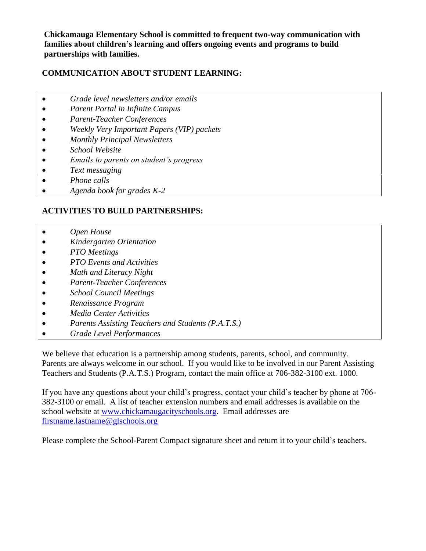**Chickamauga Elementary School is committed to frequent two-way communication with families about children's learning and offers ongoing events and programs to build partnerships with families.**

#### **COMMUNICATION ABOUT STUDENT LEARNING:**

- *Grade level newsletters and/or emails*
- *Parent Portal in Infinite Campus*
- *Parent-Teacher Conferences*
- *Weekly Very Important Papers (VIP) packets*
- *Monthly Principal Newsletters*
- *School Website*
- *Emails to parents on student's progress*
- *Text messaging*
- *Phone calls*
- *Agenda book for grades K-2*

## **ACTIVITIES TO BUILD PARTNERSHIPS:**

- *Open House*
- *Kindergarten Orientation*
- *PTO Meetings*
- *PTO Events and Activities*
- *Math and Literacy Night*
- *Parent-Teacher Conferences*
- *School Council Meetings*
- *Renaissance Program*
- *Media Center Activities*
- *Parents Assisting Teachers and Students (P.A.T.S.)*
- *Grade Level Performances*

We believe that education is a partnership among students, parents, school, and community. Parents are always welcome in our school. If you would like to be involved in our Parent Assisting Teachers and Students (P.A.T.S.) Program, contact the main office at 706-382-3100 ext. 1000.

If you have any questions about your child's progress, contact your child's teacher by phone at 706- 382-3100 or email. A list of teacher extension numbers and email addresses is available on the school website at [www.chickamaugacityschools.org.](http://www.chickamaugacityschools.org/) Email addresses are [firstname.lastname@glschools.org](mailto:firstname.lastname@glschools.org)

Please complete the School-Parent Compact signature sheet and return it to your child's teachers.